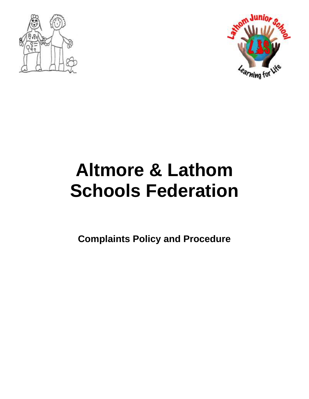



# **Altmore & Lathom Schools Federation**

**Complaints Policy and Procedure**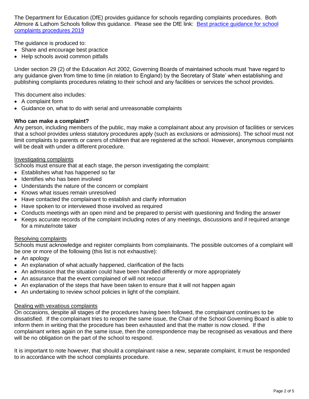The Department for Education (DfE) provides guidance for schools regarding complaints procedures. Both Altmore & Lathom Schools follow this quidance. Please see the DfE link: Best practice quidance for school [complaints procedures 2019](https://www.gov.uk/government/publications/school-complaints-procedures/best-practice-advice-for-school-complaints-procedures-2019)

The guidance is produced to:

- Share and encourage best practice
- Help schools avoid common pitfalls

Under section 29 (2) of the Education Act 2002, Governing Boards of maintained schools must 'have regard to any guidance given from time to time (in relation to England) by the Secretary of State' when establishing and publishing complaints procedures relating to their school and any facilities or services the school provides.

This document also includes:

- A complaint form
- Guidance on, what to do with serial and unreasonable complaints

## **Who can make a complaint?**

Any person, including members of the public, may make a complainant about any provision of facilities or services that a school provides unless statutory procedures apply (such as exclusions or admissions). The school must not limit complaints to parents or carers of children that are registered at the school. However, anonymous complaints will be dealt with under a different procedure.

## Investigating complaints

Schools must ensure that at each stage, the person investigating the complaint:

- Establishes what has happened so far
- Identifies who has been involved
- Understands the nature of the concern or complaint
- Knows what issues remain unresolved
- Have contacted the complainant to establish and clarify information
- Have spoken to or interviewed those involved as required
- Conducts meetings with an open mind and be prepared to persist with questioning and finding the answer
- Keeps accurate records of the complaint including notes of any meetings, discussions and if required arrange for a minute/note taker

## Resolving complaints

Schools must acknowledge and register complaints from complainants. The possible outcomes of a complaint will be one or more of the following (this list is not exhaustive):

- An apology
- An explanation of what actually happened, clarification of the facts
- An admission that the situation could have been handled differently or more appropriately
- An assurance that the event complained of will not reoccur
- An explanation of the steps that have been taken to ensure that it will not happen again
- An undertaking to review school policies in light of the complaint.

# Dealing with vexatious complaints

On occasions, despite all stages of the procedures having been followed, the complainant continues to be dissatisfied. If the complainant tries to reopen the same issue, the Chair of the School Governing Board is able to inform them in writing that the procedure has been exhausted and that the matter is now closed. If the complainant writes again on the same issue, then the correspondence may be recognised as vexatious and there will be no obligation on the part of the school to respond.

It is important to note however, that should a complainant raise a new, separate complaint, it must be responded to in accordance with the school complaints procedure.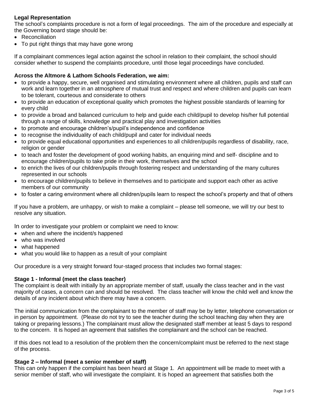# **Legal Representation**

The school's complaints procedure is not a form of legal proceedings. The aim of the procedure and especially at the Governing board stage should be:

- Reconciliation
- To put right things that may have gone wrong

If a complainant commences legal action against the school in relation to their complaint, the school should consider whether to suspend the complaints procedure, until those legal proceedings have concluded.

## **Across the Altmore & Lathom Schools Federation, we aim:**

- to provide a happy, secure, well organised and stimulating environment where all children, pupils and staff can work and learn together in an atmosphere of mutual trust and respect and where children and pupils can learn to be tolerant, courteous and considerate to others
- to provide an education of exceptional quality which promotes the highest possible standards of learning for every child
- to provide a broad and balanced curriculum to help and guide each child/pupil to develop his/her full potential through a range of skills, knowledge and practical play and investigation activities
- to promote and encourage children's/pupil's independence and confidence
- to recognise the individuality of each child/pupil and cater for individual needs
- to provide equal educational opportunities and experiences to all children/pupils regardless of disability, race, religion or gender
- to teach and foster the development of good working habits, an enquiring mind and self- discipline and to encourage children/pupils to take pride in their work, themselves and the school
- to enrich the lives of our children/pupils through fostering respect and understanding of the many cultures represented in our schools
- to encourage children/pupils to believe in themselves and to participate and support each other as active members of our community
- to foster a caring environment where all children/pupils learn to respect the school's property and that of others

If you have a problem, are unhappy, or wish to make a complaint – please tell someone, we will try our best to resolve any situation.

In order to investigate your problem or complaint we need to know:

- when and where the incident/s happened
- who was involved
- what happened
- what you would like to happen as a result of your complaint

Our procedure is a very straight forward four-staged process that includes two formal stages:

## **Stage 1 - Informal (meet the class teacher)**

The complaint is dealt with initially by an appropriate member of staff, usually the class teacher and in the vast majority of cases, a concern can and should be resolved. The class teacher will know the child well and know the details of any incident about which there may have a concern.

The initial communication from the complainant to the member of staff may be by letter, telephone conversation or in person by appointment. (Please do not try to see the teacher during the school teaching day when they are taking or preparing lessons.) The complainant must allow the designated staff member at least 5 days to respond to the concern. It is hoped an agreement that satisfies the complainant and the school can be reached.

If this does not lead to a resolution of the problem then the concern/complaint must be referred to the next stage of the process.

## **Stage 2 – Informal (meet a senior member of staff)**

This can only happen if the complaint has been heard at Stage 1. An appointment will be made to meet with a senior member of staff, who will investigate the complaint. It is hoped an agreement that satisfies both the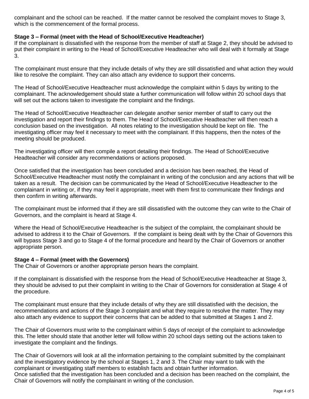complainant and the school can be reached. If the matter cannot be resolved the complaint moves to Stage 3, which is the commencement of the formal process.

## **Stage 3 – Formal (meet with the Head of School/Executive Headteacher)**

If the complainant is dissatisfied with the response from the member of staff at Stage 2, they should be advised to put their complaint in writing to the Head of School/Executive Headteacher who will deal with it formally at Stage 3.

The complainant must ensure that they include details of why they are still dissatisfied and what action they would like to resolve the complaint. They can also attach any evidence to support their concerns.

The Head of School/Executive Headteacher must acknowledge the complaint within 5 days by writing to the complainant. The acknowledgement should state a further communication will follow within 20 school days that will set out the actions taken to investigate the complaint and the findings.

The Head of School/Executive Headteacher can delegate another senior member of staff to carry out the investigation and report their findings to them. The Head of School/Executive Headteacher will then reach a conclusion based on the investigation. All notes relating to the investigation should be kept on file. The investigating officer may feel it necessary to meet with the complainant. If this happens, then the notes of the meeting should be produced.

The investigating officer will then compile a report detailing their findings. The Head of School/Executive Headteacher will consider any recommendations or actions proposed.

Once satisfied that the investigation has been concluded and a decision has been reached, the Head of School/Executive Headteacher must notify the complainant in writing of the conclusion and any actions that will be taken as a result. The decision can be communicated by the Head of School/Executive Headteacher to the complainant in writing or, if they may feel it appropriate, meet with them first to communicate their findings and then confirm in writing afterwards.

The complainant must be informed that if they are still dissatisfied with the outcome they can write to the Chair of Governors, and the complaint is heard at Stage 4.

Where the Head of School/Executive Headteacher is the subject of the complaint, the complainant should be advised to address it to the Chair of Governors. If the complaint is being dealt with by the Chair of Governors this will bypass Stage 3 and go to Stage 4 of the formal procedure and heard by the Chair of Governors or another appropriate person.

## **Stage 4 – Formal (meet with the Governors)**

The Chair of Governors or another appropriate person hears the complaint.

If the complainant is dissatisfied with the response from the Head of School/Executive Headteacher at Stage 3, they should be advised to put their complaint in writing to the Chair of Governors for consideration at Stage 4 of the procedure.

The complainant must ensure that they include details of why they are still dissatisfied with the decision, the recommendations and actions of the Stage 3 complaint and what they require to resolve the matter. They may also attach any evidence to support their concerns that can be added to that submitted at Stages 1 and 2.

The Chair of Governors must write to the complainant within 5 days of receipt of the complaint to acknowledge this. The letter should state that another letter will follow within 20 school days setting out the actions taken to investigate the complaint and the findings.

The Chair of Governors will look at all the information pertaining to the complaint submitted by the complainant and the investigatory evidence by the school at Stages 1, 2 and 3. The Chair may want to talk with the complainant or investigating staff members to establish facts and obtain further information. Once satisfied that the investigation has been concluded and a decision has been reached on the complaint, the Chair of Governors will notify the complainant in writing of the conclusion.